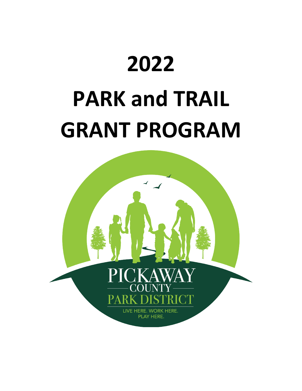# **2022 PARK and TRAIL GRANT PROGRAM**

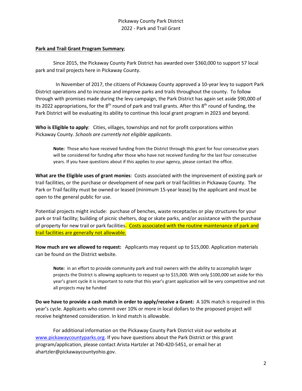#### **Park and Trail Grant Program Summary**;

Since 2015, the Pickaway County Park District has awarded over \$360,000 to support 57 local park and trail projects here in Pickaway County.

 In November of 2017, the citizens of Pickaway County approved a 10-year levy to support Park District operations and to increase and improve parks and trails throughout the county. To follow through with promises made during the levy campaign, the Park District has again set aside \$90,000 of its 2022 appropriations, for the  $8<sup>th</sup>$  round of park and trail grants. After this  $8<sup>th</sup>$  round of funding, the Park District will be evaluating its ability to continue this local grant program in 2023 and beyond.

**Who is Eligible to apply**: Cities, villages, townships and not for profit corporations within Pickaway County. *Schools are currently not eligible applicants*.

**Note:** Those who have received funding from the District through this grant for four consecutive years will be considered for funding after those who have not received funding for the last four consecutive years. If you have questions about if this applies to your agency, please contact the office.

**What are the Eligible uses of grant monies**: Costs associated with the improvement of existing park or trail facilities, or the purchase or development of new park or trail facilities in Pickaway County. The Park or Trail facility must be owned or leased (minimum 15-year lease) by the applicant and must be open to the general public for use.

Potential projects might include: purchase of benches, waste receptacles or play structures for your park or trail facility; building of picnic shelters, dog or skate parks, and/or assistance with the purchase of property for new trail or park facilities. Costs associated with the routine maintenance of park and trail facilities are generally not allowable.

**How much are we allowed to request:** Applicants may request up to \$15,000. Application materials can be found on the District website.

**Note:** in an effort to provide community park and trail owners with the ability to accomplish larger projects the District is allowing applicants to request up to \$15,000. With only \$100,000 set aside for this year's grant cycle it is important to note that this year's grant application will be very competitive and not all projects may be funded

**Do we have to provide a cash match in order to apply/receive a Grant:** A 10% match is required in this year's cycle. Applicants who commit over 10% or more in local dollars to the proposed project will receive heightened consideration. In kind match is allowable.

For additional information on the Pickaway County Park District visit our website at [www.pickawaycountyparks.org.](http://www.pickawaycountyparks.org/) If you have questions about the Park District or this grant program/application, please contact Arista Hartzler at 740-420-5451, or email her at ahartzler@pickawaycountyohio.gov.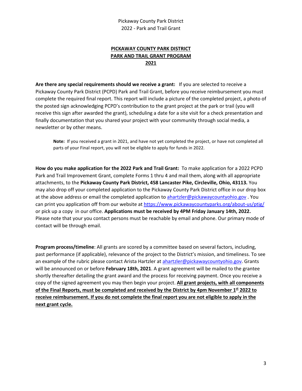#### **PICKAWAY COUNTY PARK DISTRICT PARK AND TRAIL GRANT PROGRAM 2021**

**Are there any special requirements should we receive a grant:** If you are selected to receive a Pickaway County Park District (PCPD) Park and Trail Grant, before you receive reimbursement you must complete the required final report. This report will include a picture of the completed project, a photo of the posted sign acknowledging PCPD's contribution to the grant project at the park or trail (you will receive this sign after awarded the grant), scheduling a date for a site visit for a check presentation and finally documentation that you shared your project with your community through social media, a newsletter or by other means.

**Note:** If you received a grant in 2021, and have not yet completed the project, or have not completed all parts of your Final report, you will not be eligible to apply for funds in 2022.

**How do you make application for the 2022 Park and Trail Grant:** To make application for a 2022 PCPD Park and Trail Improvement Grant, complete Forms 1 thru 4 and mail them, along with all appropriate attachments, to the **Pickaway County Park District, 458 Lancaster Pike, Circleville, Ohio, 43113.** You may also drop off your completed application to the Pickaway County Park District office in our drop box at the above address or email the completed application to [ahartzler@pickawaycountyohio.gov](mailto:ahartzler@pickawaycountyohio.gov). You can print you application off from our website a[t https://www.pickawaycountyparks.org/about-us/ptig/](https://www.pickawaycountyparks.org/about-us/ptig/) or pick up a copy in our office. **Applications must be received by 4PM Friday January 14th, 2022.**  Please note that your you contact persons must be reachable by email and phone. Our primary mode of contact will be through email.

**Program process/timeline**: All grants are scored by a committee based on several factors, including, past performance (if applicable), relevance of the project to the District's mission, and timeliness. To see an example of the rubric please contact Arista Hartzler a[t ahartzler@pickawaycountyohio.gov.](mailto:ahartzler@pickawaycountyohio.gov) Grants will be announced on or before **February 18th, 2021**. A grant agreement will be mailed to the grantee shortly thereafter detailing the grant award and the process for receiving payment. Once you receive a copy of the signed agreement you may then begin your project. **All grant projects, with all components of the Final Reports, must be completed and received by the District by 4pm November 1st 2022 to receive reimbursement. If you do not complete the final report you are not eligible to apply in the next grant cycle.**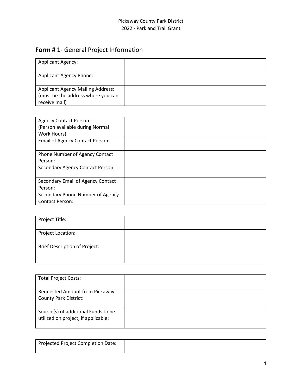## **Form # 1**- General Project Information

| <b>Applicant Agency:</b>                                                                        |  |
|-------------------------------------------------------------------------------------------------|--|
| <b>Applicant Agency Phone:</b>                                                                  |  |
| <b>Applicant Agency Mailing Address:</b><br>(must be the address where you can<br>receive mail) |  |

| <b>Agency Contact Person:</b>           |  |
|-----------------------------------------|--|
| (Person available during Normal         |  |
| Work Hours)                             |  |
| <b>Email of Agency Contact Person:</b>  |  |
|                                         |  |
| Phone Number of Agency Contact          |  |
| Person:                                 |  |
| <b>Secondary Agency Contact Person:</b> |  |
|                                         |  |
| Secondary Email of Agency Contact       |  |
| Person:                                 |  |
| Secondary Phone Number of Agency        |  |
| <b>Contact Person:</b>                  |  |

| Project Title:                       |  |
|--------------------------------------|--|
| Project Location:                    |  |
| <b>Brief Description of Project:</b> |  |

| <b>Total Project Costs:</b>                                                |  |
|----------------------------------------------------------------------------|--|
| <b>Requested Amount from Pickaway</b>                                      |  |
| <b>County Park District:</b>                                               |  |
| Source(s) of additional Funds to be<br>utilized on project, if applicable: |  |

| Projected Project Completion Date: |  |
|------------------------------------|--|
|                                    |  |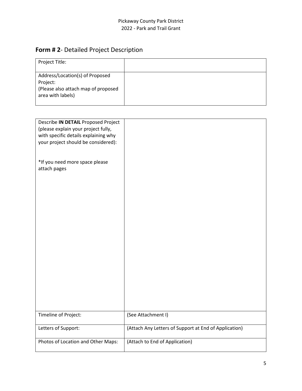#### Pickaway County Park District 2022 - Park and Trail Grant

## **Form # 2**- Detailed Project Description

| Project Title:                                                                                          |  |
|---------------------------------------------------------------------------------------------------------|--|
| Address/Location(s) of Proposed<br>Project:<br>(Please also attach map of proposed<br>area with labels) |  |

| Describe IN DETAIL Proposed Project<br>(please explain your project fully,<br>with specific details explaining why<br>your project should be considered): |                                                       |
|-----------------------------------------------------------------------------------------------------------------------------------------------------------|-------------------------------------------------------|
| *If you need more space please<br>attach pages                                                                                                            |                                                       |
| Timeline of Project:                                                                                                                                      | (See Attachment I)                                    |
| Letters of Support:                                                                                                                                       | (Attach Any Letters of Support at End of Application) |
| Photos of Location and Other Maps:                                                                                                                        | (Attach to End of Application)                        |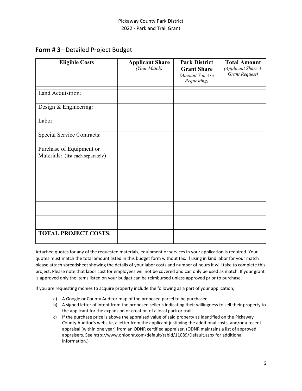#### **Form # 3**– Detailed Project Budget

| <b>Eligible Costs</b>                                         | <b>Applicant Share</b><br>(Your Match) | <b>Park District</b><br><b>Grant Share</b><br>(Amount You Are<br>Requesting) | <b>Total Amount</b><br>(Applicant Share $+$<br><b>Grant Request)</b> |
|---------------------------------------------------------------|----------------------------------------|------------------------------------------------------------------------------|----------------------------------------------------------------------|
| Land Acquisition:                                             |                                        |                                                                              |                                                                      |
| Design & Engineering:                                         |                                        |                                                                              |                                                                      |
| Labor:                                                        |                                        |                                                                              |                                                                      |
| <b>Special Service Contracts:</b>                             |                                        |                                                                              |                                                                      |
| Purchase of Equipment or<br>Materials: (list each separately) |                                        |                                                                              |                                                                      |
|                                                               |                                        |                                                                              |                                                                      |
|                                                               |                                        |                                                                              |                                                                      |
|                                                               |                                        |                                                                              |                                                                      |
|                                                               |                                        |                                                                              |                                                                      |
|                                                               |                                        |                                                                              |                                                                      |
| <b>TOTAL PROJECT COSTS:</b>                                   |                                        |                                                                              |                                                                      |

Attached quotes for any of the requested materials, equipment or services in your application is required. Your quotes must match the total amount listed in this budget form without tax. If using in kind labor for your match please attach spreadsheet showing the details of your labor costs and number of hours it will take to complete this project. Please note that labor cost for employees will not be covered and can only be used as match. If your grant is approved only the items listed on your budget can be reimbursed unless approved prior to purchase.

If you are requesting monies to acquire property include the following as a part of your application;

- a) A Google or County Auditor map of the proposed parcel to be purchased.
- b) A signed letter of intent from the proposed seller's indicating their willingness to sell their property to the applicant for the expansion or creation of a local park or trail.
- c) If the purchase price is above the appraised value of said property as identified on the Pickaway County Auditor's website, a letter from the applicant justifying the additional costs, and/or a recent appraisal (within one year) from an ODNR certified appraiser. (ODNR maintains a list of approved appraisers. See http://www.ohiodnr.com/default/tabid/11089/Default.aspx for additional information.)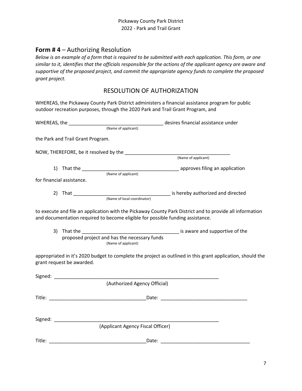#### **Form # 4** – Authorizing Resolution

*Below is an example of a form that is required to be submitted with each application. This form, or one similar to it, identifies that the officials responsible for the actions of the applicant agency are aware and supportive of the proposed project, and commit the appropriate agency funds to complete the proposed grant project.*

#### RESOLUTION OF AUTHORIZATION

WHEREAS, the Pickaway County Park District administers a financial assistance program for public outdoor recreation purposes, through the 2020 Park and Trail Grant Program, and

|                                   | desires financial assistance under                                                                                                                                                         |
|-----------------------------------|--------------------------------------------------------------------------------------------------------------------------------------------------------------------------------------------|
|                                   | (Name of applicant)                                                                                                                                                                        |
| the Park and Trail Grant Program. |                                                                                                                                                                                            |
|                                   |                                                                                                                                                                                            |
|                                   |                                                                                                                                                                                            |
|                                   |                                                                                                                                                                                            |
| for financial assistance.         |                                                                                                                                                                                            |
|                                   |                                                                                                                                                                                            |
|                                   |                                                                                                                                                                                            |
|                                   | to execute and file an application with the Pickaway County Park District and to provide all information<br>and documentation required to become eligible for possible funding assistance. |
|                                   | proposed project and has the necessary funds<br>(Name of applicant)                                                                                                                        |
| grant request be awarded.         | appropriated in it's 2020 budget to complete the project as outlined in this grant application, should the                                                                                 |
|                                   |                                                                                                                                                                                            |
|                                   | (Authorized Agency Official)                                                                                                                                                               |
|                                   |                                                                                                                                                                                            |
|                                   |                                                                                                                                                                                            |
|                                   | (Applicant Agency Fiscal Officer)                                                                                                                                                          |
|                                   |                                                                                                                                                                                            |